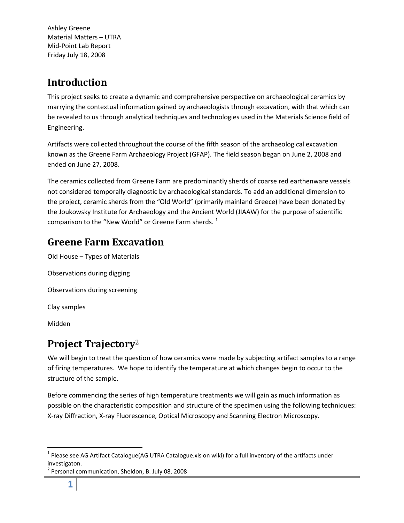### **Introduction**

This project seeks to create a dynamic and comprehensive perspective on archaeological ceramics by marrying the contextual information gained by archaeologists through excavation, with that which can be revealed to us through analytical techniques and technologies used in the Materials Science field of Engineering.

Artifacts were collected throughout the course of the fifth season of the archaeological excavation known as the Greene Farm Archaeology Project (GFAP). The field season began on June 2, 2008 and ended on June 27, 2008.

The ceramics collected from Greene Farm are predominantly sherds of coarse red earthenware vessels not considered temporally diagnostic by archaeological standards. To add an additional dimension to the project, ceramic sherds from the "Old World" (primarily mainland Greece) have been donated by the Joukowsky Institute for Archaeology and the Ancient World (JIAAW) for the purpose of scientific comparison to the "New World" or Greene Farm sherds.  $1$ 

# **Greene Farm Excavation**

Old House – Types of Materials

Observations during digging

Observations during screening

Clay samples

Midden

# **Project Trajectory**<sup>2</sup>

We will begin to treat the question of how ceramics were made by subjecting artifact samples to a range of firing temperatures. We hope to identify the temperature at which changes begin to occur to the structure of the sample.

Before commencing the series of high temperature treatments we will gain as much information as possible on the characteristic composition and structure of the specimen using the following techniques: X-ray Diffraction, X-ray Fluorescence, Optical Microscopy and Scanning Electron Microscopy.

 $\overline{\phantom{a}}$  $^1$  Please see AG Artifact Catalogue(AG UTRA Catalogue.xls on wiki) for a full inventory of the artifacts under investigaton.

<sup>&</sup>lt;sup>2</sup> Personal communication, Sheldon, B. July 08, 2008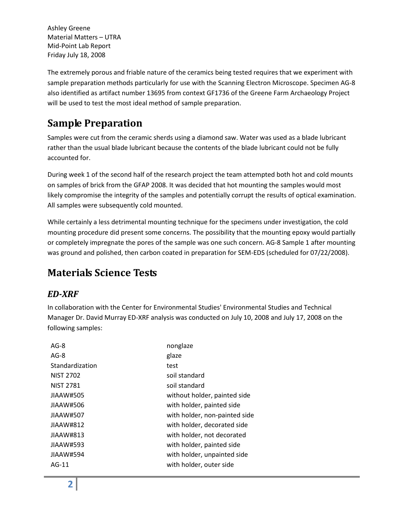The extremely porous and friable nature of the ceramics being tested requires that we experiment with sample preparation methods particularly for use with the Scanning Electron Microscope. Specimen AG-8 also identified as artifact number 13695 from context GF1736 of the Greene Farm Archaeology Project will be used to test the most ideal method of sample preparation.

# **Sample Preparation**

Samples were cut from the ceramic sherds using a diamond saw. Water was used as a blade lubricant rather than the usual blade lubricant because the contents of the blade lubricant could not be fully accounted for.

During week 1 of the second half of the research project the team attempted both hot and cold mounts on samples of brick from the GFAP 2008. It was decided that hot mounting the samples would most likely compromise the integrity of the samples and potentially corrupt the results of optical examination. All samples were subsequently cold mounted.

While certainly a less detrimental mounting technique for the specimens under investigation, the cold mounting procedure did present some concerns. The possibility that the mounting epoxy would partially or completely impregnate the pores of the sample was one such concern. AG-8 Sample 1 after mounting was ground and polished, then carbon coated in preparation for SEM-EDS (scheduled for 07/22/2008).

# **Materials Science Tests**

#### *ED-XRF*

In collaboration with the Center for Environmental Studies' Environmental Studies and Technical Manager Dr. David Murray ED-XRF analysis was conducted on July 10, 2008 and July 17, 2008 on the following samples:

| $AG-8$           | nonglaze                      |
|------------------|-------------------------------|
| $AG-8$           | glaze                         |
| Standardization  | test                          |
| <b>NIST 2702</b> | soil standard                 |
| <b>NIST 2781</b> | soil standard                 |
| JIAAW#505        | without holder, painted side  |
| JIAAW#506        | with holder, painted side     |
| JIAAW#507        | with holder, non-painted side |
| JIAAW#812        | with holder, decorated side   |
| JIAAW#813        | with holder, not decorated    |
| JIAAW#593        | with holder, painted side     |
| JIAAW#594        | with holder, unpainted side   |
| $AG-11$          | with holder, outer side       |
|                  |                               |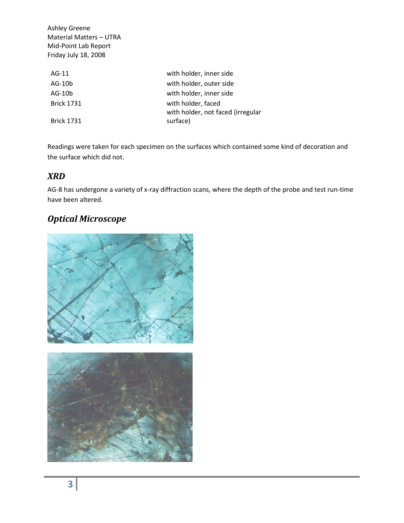| AG-11             | with holder, inner side           |
|-------------------|-----------------------------------|
| $AG-10b$          | with holder, outer side           |
| $AG-10b$          | with holder, inner side           |
| <b>Brick 1731</b> | with holder, faced                |
|                   | with holder, not faced (irregular |
| <b>Brick 1731</b> | surface)                          |

Readings were taken for each specimen on the surfaces which contained some kind of decoration and the surface which did not.

#### *XRD*

AG-8 has undergone a variety of x-ray diffraction scans, where the depth of the probe and test run-time have been altered.

### *Optical Microscope*



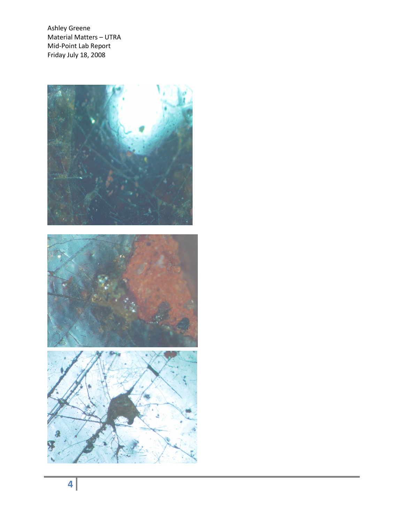





**4**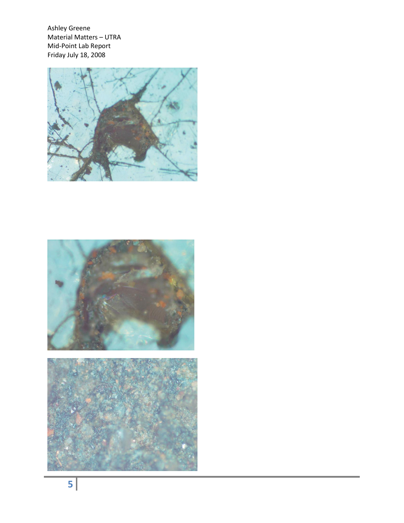





**5**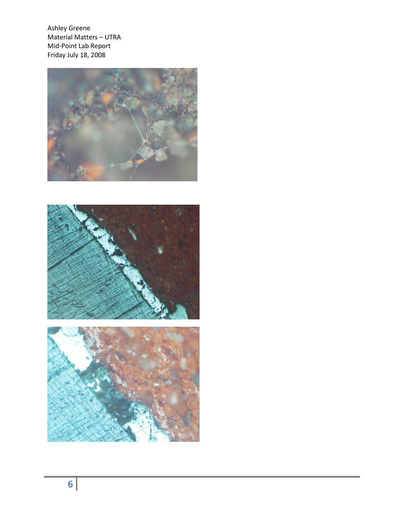